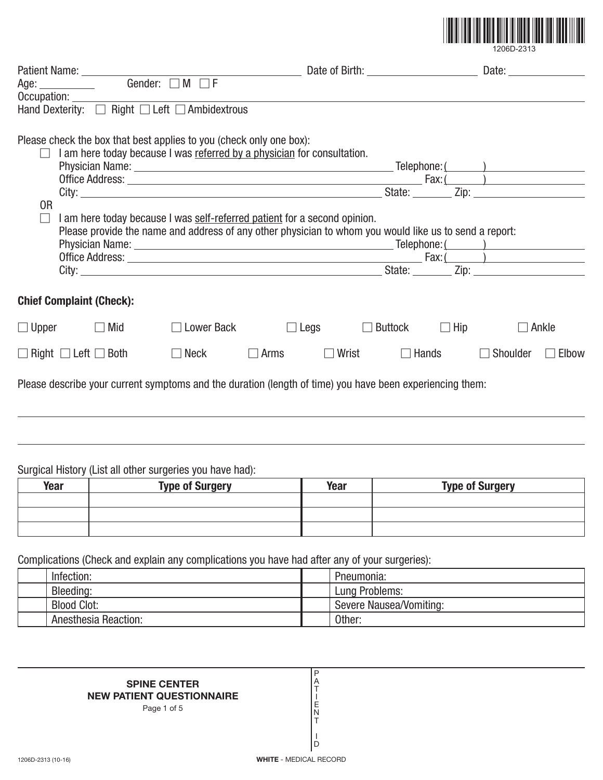

|                          |                                                                                                                                                                                                                                                                                                                                       |                   |             |       |                                      |            | Date: the contract of the contract of the contract of the contract of the contract of the contract of the contract of the contract of the contract of the contract of the contract of the contract of the contract of the cont |       |
|--------------------------|---------------------------------------------------------------------------------------------------------------------------------------------------------------------------------------------------------------------------------------------------------------------------------------------------------------------------------------|-------------------|-------------|-------|--------------------------------------|------------|--------------------------------------------------------------------------------------------------------------------------------------------------------------------------------------------------------------------------------|-------|
|                          | Age: ______________ Gender: □ M □ F                                                                                                                                                                                                                                                                                                   |                   |             |       |                                      |            |                                                                                                                                                                                                                                |       |
| Occupation:              | Hand Dexterity: □ Right □ Left □ Ambidextrous                                                                                                                                                                                                                                                                                         |                   |             |       |                                      |            |                                                                                                                                                                                                                                |       |
| 0 <sub>R</sub><br>$\Box$ | Please check the box that best applies to you (check only one box):<br>I am here today because I was referred by a physician for consultation.<br>I am here today because I was self-referred patient for a second opinion.<br>Please provide the name and address of any other physician to whom you would like us to send a report: |                   |             |       | State: Zip: Zip:<br>State: Zip: Zip: |            | Fax: ( )                                                                                                                                                                                                                       |       |
|                          | <b>Chief Complaint (Check):</b>                                                                                                                                                                                                                                                                                                       |                   |             |       |                                      |            |                                                                                                                                                                                                                                |       |
| $\Box$ Upper             | $\Box$ Mid                                                                                                                                                                                                                                                                                                                            | $\Box$ Lower Back | $\Box$ Legs |       | Buttock                              | $\Box$ Hip | $\Box$ Ankle                                                                                                                                                                                                                   |       |
|                          | $\Box$ Right $\Box$ Left $\Box$ Both                                                                                                                                                                                                                                                                                                  | $\Box$ Neck       | $\Box$ Arms | Wrist | $\Box$ Hands                         |            | Shoulder                                                                                                                                                                                                                       | Elbow |
|                          | Please describe your current symptoms and the duration (length of time) you have been experiencing them:                                                                                                                                                                                                                              |                   |             |       |                                      |            |                                                                                                                                                                                                                                |       |

## Surgical History (List all other surgeries you have had):

| Year | <b>Type of Surgery</b> | <b>Year</b> | <b>Type of Surgery</b> |
|------|------------------------|-------------|------------------------|
|      |                        |             |                        |
|      |                        |             |                        |
|      |                        |             |                        |

Complications (Check and explain any complications you have had after any of your surgeries):

|             |                      | $\sim$                  |
|-------------|----------------------|-------------------------|
| Infection:  |                      | Pneumonia:              |
| Bleeding:   |                      | Lung Problems:          |
| Blood Clot: |                      | Severe Nausea/Vomiting: |
|             | Anesthesia Reaction: | Other:                  |

P A T I E N T I D

#### **SPINE CENTER NEW PATIENT QUESTIONNAIRE**

Page 1 of 5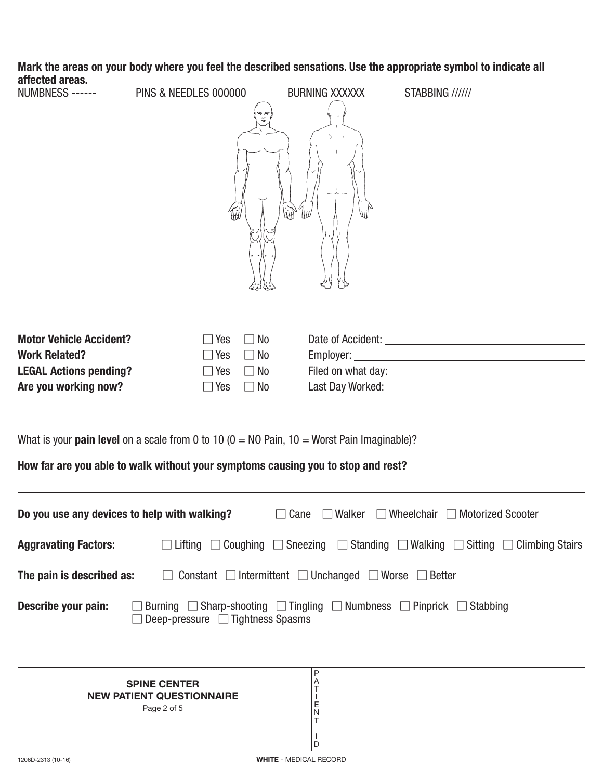# **Mark the areas on your body where you feel the described sensations. Use the appropriate symbol to indicate all affected areas.**

PINS & NEEDLES 000000 BURNING XXXXXX STABBING //////

|                                                                                                                                                                                                               |                                                                                                       | W                                                                                                                                                                                                                              |  |  |  |
|---------------------------------------------------------------------------------------------------------------------------------------------------------------------------------------------------------------|-------------------------------------------------------------------------------------------------------|--------------------------------------------------------------------------------------------------------------------------------------------------------------------------------------------------------------------------------|--|--|--|
| <b>Motor Vehicle Accident?</b><br><b>Work Related?</b><br><b>LEGAL Actions pending?</b><br>Are you working now?                                                                                               | $\Box$ No<br>$\square$ Yes<br>$\Box$ Yes<br>$\Box$ No<br>$\Box$ Yes $\Box$ No<br>$\Box$ Yes $\Box$ No | Last Day Worked: University of the University of the University of the University of the University of the University of the University of the University of the University of the University of the University of the Univers |  |  |  |
| What is your <b>pain level</b> on a scale from 0 to 10 ( $0 = \text{NO}$ Pain, 10 = Worst Pain Imaginable)? $\frac{1}{2}$<br>How far are you able to walk without your symptoms causing you to stop and rest? |                                                                                                       |                                                                                                                                                                                                                                |  |  |  |
| Do you use any devices to help with walking?<br>$\Box$ Cane $\Box$ Walker $\Box$ Wheelchair $\Box$ Motorized Scooter                                                                                          |                                                                                                       |                                                                                                                                                                                                                                |  |  |  |
|                                                                                                                                                                                                               |                                                                                                       | <b>Aggravating Factors:</b> $\square$ Lifting $\square$ Coughing $\square$ Sneezing $\square$ Standing $\square$ Walking $\square$ Sitting $\square$ Climbing Stairs                                                           |  |  |  |
| The pain is described as:                                                                                                                                                                                     | $\Box$                                                                                                | Constant $\Box$ Intermittent $\Box$ Unchanged $\Box$ Worse $\Box$ Better                                                                                                                                                       |  |  |  |

| Describe your pain: |  | $□$ Burning $□$ Sharp-shooting $□$ Tingling $□$ Numbness $□$ Pinprick $□$ Stabbing |  |  |  |
|---------------------|--|------------------------------------------------------------------------------------|--|--|--|
|                     |  |                                                                                    |  |  |  |

**SPINE CENTER NEW PATIENT QUESTIONNAIRE** Page 2 of 5

P A T I E N T I D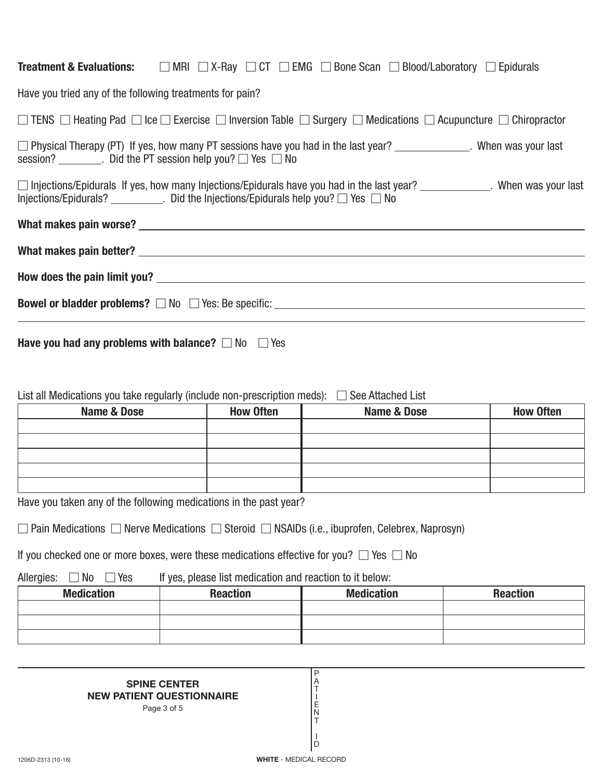| <b>Treatment &amp; Evaluations:</b> $\Box$ MRI $\Box$ X-Ray $\Box$ CT $\Box$ EMG $\Box$ Bone Scan $\Box$ Blood/Laboratory $\Box$ Epidurals                                                                                     |                                                                                                                                                                                                 |             |                  |  |  |  |
|--------------------------------------------------------------------------------------------------------------------------------------------------------------------------------------------------------------------------------|-------------------------------------------------------------------------------------------------------------------------------------------------------------------------------------------------|-------------|------------------|--|--|--|
| Have you tried any of the following treatments for pain?                                                                                                                                                                       |                                                                                                                                                                                                 |             |                  |  |  |  |
| $\Box$ TENS $\Box$ Heating Pad $\Box$ Ice $\Box$ Exercise $\Box$ Inversion Table $\Box$ Surgery $\Box$ Medications $\Box$ Acupuncture $\Box$ Chiropractor                                                                      |                                                                                                                                                                                                 |             |                  |  |  |  |
|                                                                                                                                                                                                                                | □ Physical Therapy (PT) If yes, how many PT sessions have you had in the last year? ______________. When was your last<br>session? _________. Did the PT session help you? $\Box$ Yes $\Box$ No |             |                  |  |  |  |
| □ Injections/Epidurals If yes, how many Injections/Epidurals have you had in the last year? _____________. When was your last<br>Injections/Epidurals? __________. Did the Injections/Epidurals help you? $\Box$ Yes $\Box$ No |                                                                                                                                                                                                 |             |                  |  |  |  |
|                                                                                                                                                                                                                                |                                                                                                                                                                                                 |             |                  |  |  |  |
|                                                                                                                                                                                                                                |                                                                                                                                                                                                 |             |                  |  |  |  |
|                                                                                                                                                                                                                                |                                                                                                                                                                                                 |             |                  |  |  |  |
|                                                                                                                                                                                                                                |                                                                                                                                                                                                 |             |                  |  |  |  |
| Have you had any problems with balance? $\Box$ No $\Box$ Yes                                                                                                                                                                   |                                                                                                                                                                                                 |             |                  |  |  |  |
| List all Medications you take regularly (include non-prescription meds): $\Box$ See Attached List                                                                                                                              |                                                                                                                                                                                                 |             |                  |  |  |  |
| <b>Name &amp; Dose</b>                                                                                                                                                                                                         | <b>How Often</b>                                                                                                                                                                                | Name & Dose | <b>How Often</b> |  |  |  |
|                                                                                                                                                                                                                                |                                                                                                                                                                                                 |             |                  |  |  |  |

| . The concentration of the full continuous distribution of the following $\alpha$ |  |  |
|-----------------------------------------------------------------------------------|--|--|

Have you taken any of the following medications in the past year?

| $\Box$ Pain Medications $\Box$ Nerve Medications $\Box$ Steroid $\Box$ NSAIDs (i.e., ibuprofen, Celebrex, Naprosyn) |  |  |  |  |  |
|---------------------------------------------------------------------------------------------------------------------|--|--|--|--|--|
|---------------------------------------------------------------------------------------------------------------------|--|--|--|--|--|

If you checked one or more boxes, were these medications effective for you?  $\Box$  Yes  $\Box$  No

Allergies:  $\Box$  No  $\Box$ If yes, please list medication and reaction to it below:

| <b>Medication</b> | <b>Reaction</b> | <b>Medication</b> | <b>Reaction</b> |
|-------------------|-----------------|-------------------|-----------------|
|                   |                 |                   |                 |
|                   |                 |                   |                 |
|                   |                 |                   |                 |

P A T I E N T I D

### **SPINE CENTER NEW PATIENT QUESTIONNAIRE**

Page 3 of 5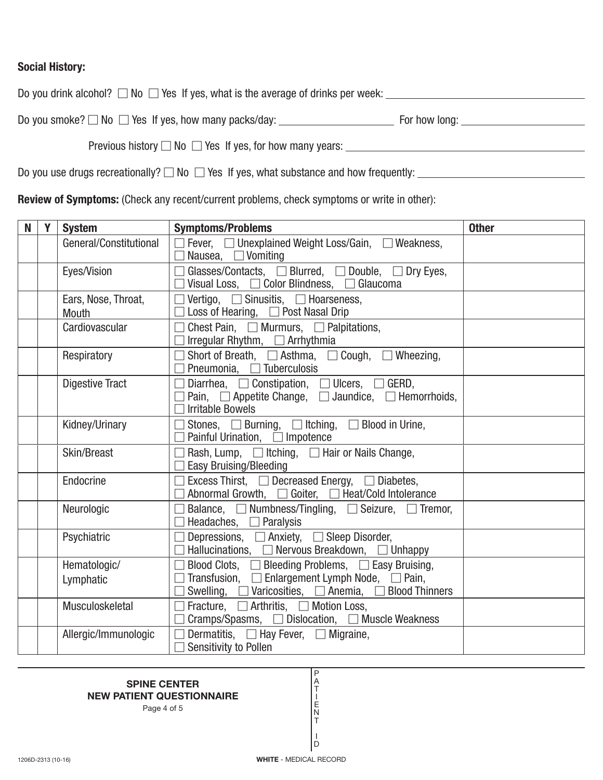## **Social History:**

Do you drink alcohol?  $\Box$  No  $\Box$  Yes If yes, what is the average of drinks per week:

Do you smoke? - No - Yes If yes, how many packs/day: For how long:

Previous history  $\square$  No  $\square$  Yes If yes, for how many years:

Do you use drugs recreationally?  $\square$  No  $\square$  Yes If yes, what substance and how frequently:

**Review of Symptoms:** (Check any recent/current problems, check symptoms or write in other):

| N | Y | <b>System</b>                | <b>Symptoms/Problems</b>                                                                                                                                                                     | <b>Other</b> |
|---|---|------------------------------|----------------------------------------------------------------------------------------------------------------------------------------------------------------------------------------------|--------------|
|   |   | General/Constitutional       | $\Box$ Fever, $\Box$ Unexplained Weight Loss/Gain, $\Box$ Weakness,<br>Nausea, $\Box$ Vomiting                                                                                               |              |
|   |   | Eyes/Vision                  | Glasses/Contacts, $\Box$ Blurred, $\Box$ Double, $\Box$ Dry Eyes,<br>Visual Loss, $\Box$ Color Blindness, $\Box$ Glaucoma                                                                    |              |
|   |   | Ears, Nose, Throat,<br>Mouth | Vertigo, $\Box$ Sinusitis, $\Box$ Hoarseness,<br>$\Box$<br>Loss of Hearing, $\Box$ Post Nasal Drip                                                                                           |              |
|   |   | Cardiovascular               | Chest Pain, $\Box$ Murmurs, $\Box$ Palpitations,<br>Irregular Rhythm, □ Arrhythmia                                                                                                           |              |
|   |   | Respiratory                  | Short of Breath, $\Box$ Asthma, $\Box$ Cough, $\Box$ Wheezing,<br>Pneumonia, □ Tuberculosis                                                                                                  |              |
|   |   | <b>Digestive Tract</b>       | Diarrhea, $\Box$ Constipation, $\Box$ Ulcers, $\Box$ GERD,<br>Pain, $\Box$ Appetite Change, $\Box$ Jaundice, $\Box$ Hemorrhoids,<br><b>Irritable Bowels</b>                                  |              |
|   |   | Kidney/Urinary               | Stones, $\Box$ Burning, $\Box$ Itching, $\Box$ Blood in Urine,<br>Painful Urination, □ Impotence                                                                                             |              |
|   |   | Skin/Breast                  | Rash, Lump, $\Box$ Itching, $\Box$ Hair or Nails Change,<br>Easy Bruising/Bleeding                                                                                                           |              |
|   |   | Endocrine                    | Excess Thirst, □ Decreased Energy, □ Diabetes,<br>Abnormal Growth, □ Goiter, □ Heat/Cold Intolerance                                                                                         |              |
|   |   | Neurologic                   | Balance, $\Box$ Numbness/Tingling, $\Box$ Seizure, $\Box$ Tremor,<br>Headaches, $\Box$ Paralysis                                                                                             |              |
|   |   | Psychiatric                  | Depressions, □ Anxiety, □ Sleep Disorder,<br>Hallucinations, $\Box$ Nervous Breakdown, $\Box$ Unhappy                                                                                        |              |
|   |   | Hematologic/<br>Lymphatic    | Blood Clots, □ Bleeding Problems, □ Easy Bruising,<br>$\Box$ Transfusion, $\Box$ Enlargement Lymph Node, $\Box$ Pain,<br>Swelling, $\Box$ Varicosities, $\Box$ Anemia, $\Box$ Blood Thinners |              |
|   |   | Musculoskeletal              | Fracture, $\Box$ Arthritis, $\Box$ Motion Loss,<br>Cramps/Spasms, □ Dislocation, □ Muscle Weakness                                                                                           |              |
|   |   | Allergic/Immunologic         | Dermatitis, $\Box$ Hay Fever, $\Box$ Migraine,<br>Sensitivity to Pollen                                                                                                                      |              |

#### **SPINE CENTER NEW PATIENT QUESTIONNAIRE**

Page 4 of 5

P A T I E N T I  $\overline{D}$